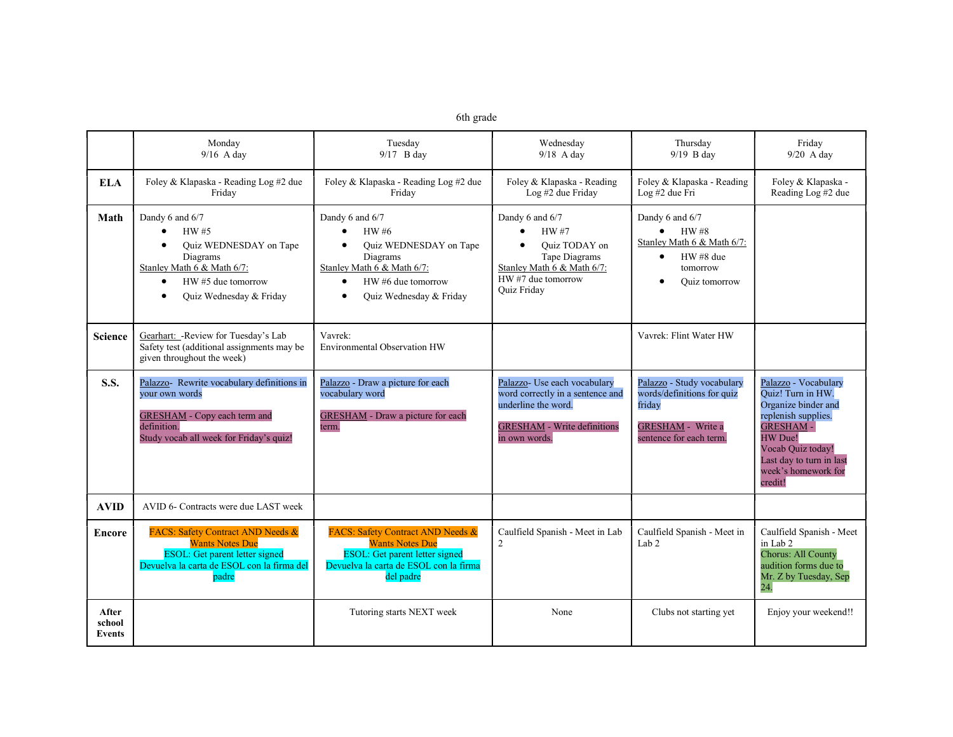| 6th grade |  |
|-----------|--|

|                                  | Monday<br>$9/16$ A day                                                                                                                                                                          | Tuesday<br>$9/17$ B day                                                                                                                                                              | Wednesday<br>$9/18$ A day                                                                                                                                | Thursday<br>$9/19$ B day                                                                                                   | Friday<br>$9/20$ A day                                                                                                                                                                                   |
|----------------------------------|-------------------------------------------------------------------------------------------------------------------------------------------------------------------------------------------------|--------------------------------------------------------------------------------------------------------------------------------------------------------------------------------------|----------------------------------------------------------------------------------------------------------------------------------------------------------|----------------------------------------------------------------------------------------------------------------------------|----------------------------------------------------------------------------------------------------------------------------------------------------------------------------------------------------------|
| <b>ELA</b>                       | Foley & Klapaska - Reading Log #2 due<br>Friday                                                                                                                                                 | Foley & Klapaska - Reading Log #2 due<br>Friday                                                                                                                                      | Foley & Klapaska - Reading<br>Log #2 due Friday                                                                                                          | Foley & Klapaska - Reading<br>Log #2 due Fri                                                                               | Foley & Klapaska -<br>Reading Log #2 due                                                                                                                                                                 |
| Math                             | Dandy 6 and 6/7<br>HW#5<br>$\bullet$<br>Quiz WEDNESDAY on Tape<br>$\bullet$<br>Diagrams<br>Stanley Math 6 & Math 6/7:<br>HW#5 due tomorrow<br>$\bullet$<br>Quiz Wednesday & Friday<br>$\bullet$ | Dandy 6 and 6/7<br>HW #6<br>$\bullet$<br>Quiz WEDNESDAY on Tape<br>Diagrams<br>Stanley Math 6 & Math 6/7:<br>HW #6 due tomorrow<br>$\bullet$<br>Quiz Wednesday & Friday<br>$\bullet$ | Dandy 6 and 6/7<br><b>HW#7</b><br>$\bullet$<br>Ouiz TODAY on<br>Tape Diagrams<br>Stanley Math 6 & Math 6/7:<br>$HW#7$ due tomorrow<br><b>Ouiz Fridav</b> | Dandy 6 and 6/7<br>HW#8<br>$\bullet$<br>Stanley Math 6 & Math 6/7:<br>$HW#8$ due<br>$\bullet$<br>tomorrow<br>Quiz tomorrow |                                                                                                                                                                                                          |
| <b>Science</b>                   | Gearhart: - Review for Tuesday's Lab<br>Safety test (additional assignments may be<br>given throughout the week)                                                                                | Vavrek:<br><b>Environmental Observation HW</b>                                                                                                                                       |                                                                                                                                                          | Vavrek: Flint Water HW                                                                                                     |                                                                                                                                                                                                          |
| <b>S.S.</b>                      | Palazzo- Rewrite vocabulary definitions in<br>vour own words<br><b>GRESHAM</b> - Copy each term and<br>definition.<br>Study vocab all week for Friday's quiz!                                   | Palazzo - Draw a picture for each<br>vocabulary word<br><b>GRESHAM</b> - Draw a picture for each<br>term.                                                                            | Palazzo- Use each vocabulary<br>word correctly in a sentence and<br>underline the word.<br><b>GRESHAM - Write definitions</b><br>in own words.           | Palazzo - Study vocabulary<br>words/definitions for quiz<br>friday<br>GRESHAM - Write a<br>sentence for each term.         | Palazzo - Vocabulary<br>Ouiz! Turn in HW.<br>Organize binder and<br>replenish supplies.<br><b>GRESHAM-</b><br>HW Due!<br>Vocab Quiz today!<br>Last day to turn in last<br>week's homework for<br>credit! |
| <b>AVID</b>                      | AVID 6- Contracts were due LAST week                                                                                                                                                            |                                                                                                                                                                                      |                                                                                                                                                          |                                                                                                                            |                                                                                                                                                                                                          |
| <b>Encore</b>                    | <b>FACS: Safety Contract AND Needs &amp;</b><br><b>Wants Notes Due</b><br>ESOL: Get parent letter signed<br>Devuelva la carta de ESOL con la firma del<br>padre                                 | <b>FACS: Safety Contract AND Needs &amp;</b><br><b>Wants Notes Due</b><br><b>ESOL:</b> Get parent letter signed<br>Devuelva la carta de ESOL con la firma<br>del padre               |                                                                                                                                                          | Caulfield Spanish - Meet in Lab<br>Caulfield Spanish - Meet in<br>$\overline{2}$<br>Lab $2$                                |                                                                                                                                                                                                          |
| After<br>school<br><b>Events</b> | Tutoring starts NEXT week                                                                                                                                                                       |                                                                                                                                                                                      | None                                                                                                                                                     | Clubs not starting yet                                                                                                     | Enjoy your weekend!!                                                                                                                                                                                     |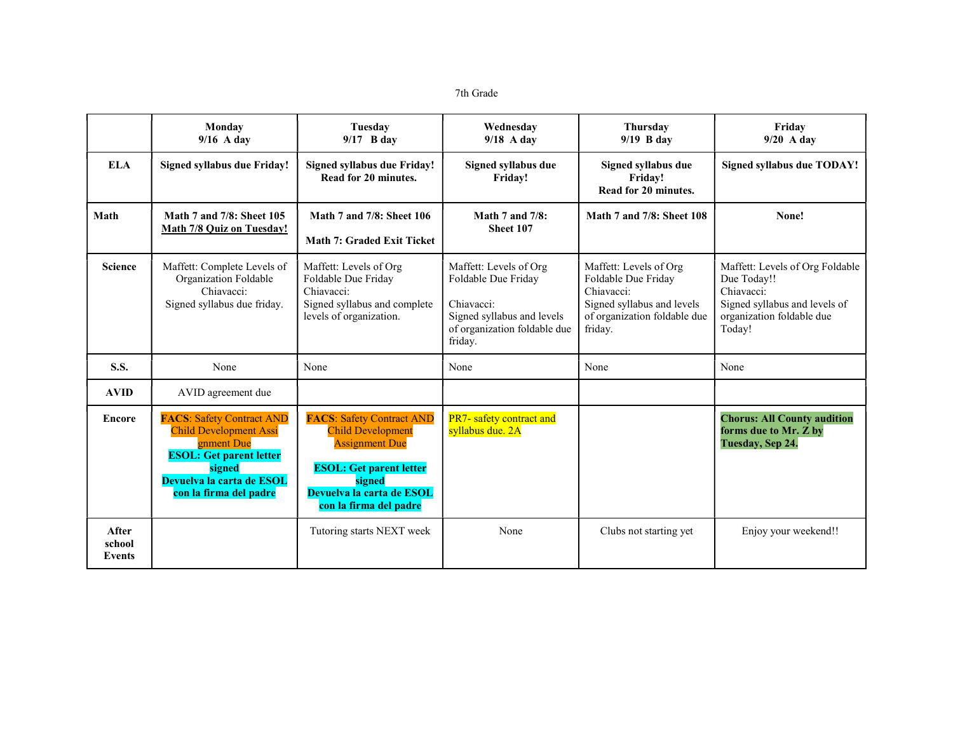7th Grade

|                           | Monday<br>$9/16$ A day                                                                                                                                                             | Tuesday<br>$9/17$ B day                                                                                                                                                                  | Wednesday<br>$9/18$ A day                                                                                                            | <b>Thursday</b><br>$9/19$ B day                                                                                                      | Friday<br>$9/20$ A day                                                                                                               |
|---------------------------|------------------------------------------------------------------------------------------------------------------------------------------------------------------------------------|------------------------------------------------------------------------------------------------------------------------------------------------------------------------------------------|--------------------------------------------------------------------------------------------------------------------------------------|--------------------------------------------------------------------------------------------------------------------------------------|--------------------------------------------------------------------------------------------------------------------------------------|
| <b>ELA</b>                | Signed syllabus due Friday!                                                                                                                                                        | <b>Signed syllabus due Friday!</b><br>Read for 20 minutes.                                                                                                                               | Signed syllabus due<br>Friday!                                                                                                       | Signed syllabus due<br>Friday!<br>Read for 20 minutes.                                                                               | Signed syllabus due TODAY!                                                                                                           |
| Math                      | Math 7 and 7/8: Sheet 105<br><b>Math 7/8 Quiz on Tuesday!</b>                                                                                                                      | <b>Math 7 and 7/8: Sheet 106</b><br>Math 7: Graded Exit Ticket                                                                                                                           | Math $7$ and $7/8$ :<br>Sheet 107                                                                                                    | Math 7 and 7/8: Sheet 108                                                                                                            | None!                                                                                                                                |
| <b>Science</b>            | Maffett: Complete Levels of<br>Organization Foldable<br>Chiavacci:<br>Signed syllabus due friday.                                                                                  | Maffett: Levels of Org<br>Foldable Due Friday<br>Chiavacci:<br>Signed syllabus and complete<br>levels of organization.                                                                   | Maffett: Levels of Org<br>Foldable Due Friday<br>Chiavacci:<br>Signed syllabus and levels<br>of organization foldable due<br>friday. | Maffett: Levels of Org<br>Foldable Due Friday<br>Chiavacci:<br>Signed syllabus and levels<br>of organization foldable due<br>friday. | Maffett: Levels of Org Foldable<br>Due Today!!<br>Chiavacci:<br>Signed syllabus and levels of<br>organization foldable due<br>Today! |
| <b>S.S.</b>               | None                                                                                                                                                                               | None                                                                                                                                                                                     | None                                                                                                                                 | None                                                                                                                                 | None                                                                                                                                 |
| <b>AVID</b>               | AVID agreement due                                                                                                                                                                 |                                                                                                                                                                                          |                                                                                                                                      |                                                                                                                                      |                                                                                                                                      |
| <b>Encore</b>             | <b>FACS: Safety Contract AND</b><br><b>Child Development Assi</b><br>gnment Due<br><b>ESOL: Get parent letter</b><br>signed<br>Devuelva la carta de ESOL<br>con la firma del padre | <b>FACS: Safety Contract AND</b><br><b>Child Development</b><br><b>Assignment Due</b><br><b>ESOL: Get parent letter</b><br>signed<br>Devuelva la carta de ESOL<br>con la firma del padre | PR7- safety contract and<br>syllabus due. 2A                                                                                         |                                                                                                                                      | <b>Chorus: All County audition</b><br>forms due to Mr. Z by<br>Tuesday, Sep 24.                                                      |
| After<br>school<br>Events |                                                                                                                                                                                    | Tutoring starts NEXT week                                                                                                                                                                | None                                                                                                                                 | Clubs not starting yet                                                                                                               | Enjoy your weekend!!                                                                                                                 |